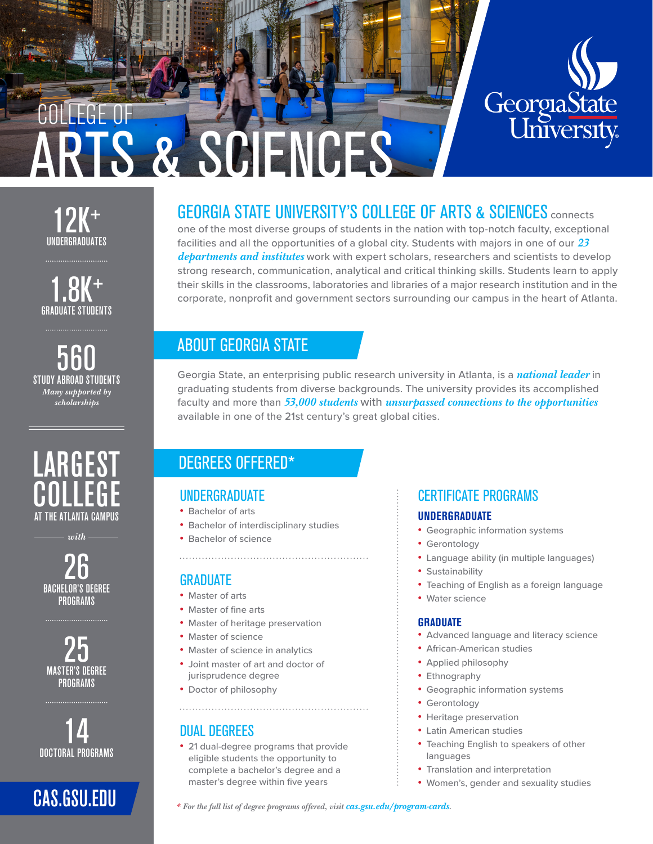

# 12K<sup>+</sup><br>UNDERGRADUATES

COLLEGE OF

 $1.8K^+$ GRADUATE STUDENTS

**560**<br>STUDY ABROAD STUDENTS *Many supported by scholarships*



*with*

**26**<br>BACHELOR'S DEGREE **PROGRAMS** 

**25**<br>MASTER'S DEGREE **PROGRAMS** 

**14**<br>Doctoral programs

# GEORGIA STATE UNIVERSITY'S COLLEGE OF ARTS & SCIENCES connects

one of the most diverse groups of students in the nation with top-notch faculty, exceptional facilities and all the opportunities of a global city. Students with majors in one of our *23 departments and institutes* work with expert scholars, researchers and scientists to develop strong research, communication, analytical and critical thinking skills. Students learn to apply their skills in the classrooms, laboratories and libraries of a major research institution and in the corporate, nonprofit and government sectors surrounding our campus in the heart of Atlanta.

# ABOUT GEORGIA STATE

**S & SCIENCES** 

Georgia State, an enterprising public research university in Atlanta, is a *national leader* in graduating students from diverse backgrounds. The university provides its accomplished faculty and more than *53,000 students* with *unsurpassed connections to the opportunities* available in one of the 21st century's great global cities.

# DEGREES OFFERED\*

## UNDERGRADUATE

- Bachelor of arts
- Bachelor of interdisciplinary studies
- Bachelor of science

## **GRADUATE**

- Master of arts
- Master of fine arts
- Master of heritage preservation
- Master of science
- Master of science in analytics
- Joint master of art and doctor of jurisprudence degree
- Doctor of philosophy

## DUAL DEGREES

• 21 dual-degree programs that provide eligible students the opportunity to complete a bachelor's degree and a master's degree within five years

## CERTIFICATE PROGRAMS

#### **UNDERGRADUATE**

- Geographic information systems
- Gerontology
- Language ability (in multiple languages)
- Sustainability
- Teaching of English as a foreign language
- Water science

#### **GRADUATE**

- Advanced language and literacy science
- African-American studies
- Applied philosophy
- Ethnography
- Geographic information systems
- Gerontology
- Heritage preservation
- Latin American studies
- Teaching English to speakers of other languages
- Translation and interpretation
- Women's, gender and sexuality studies